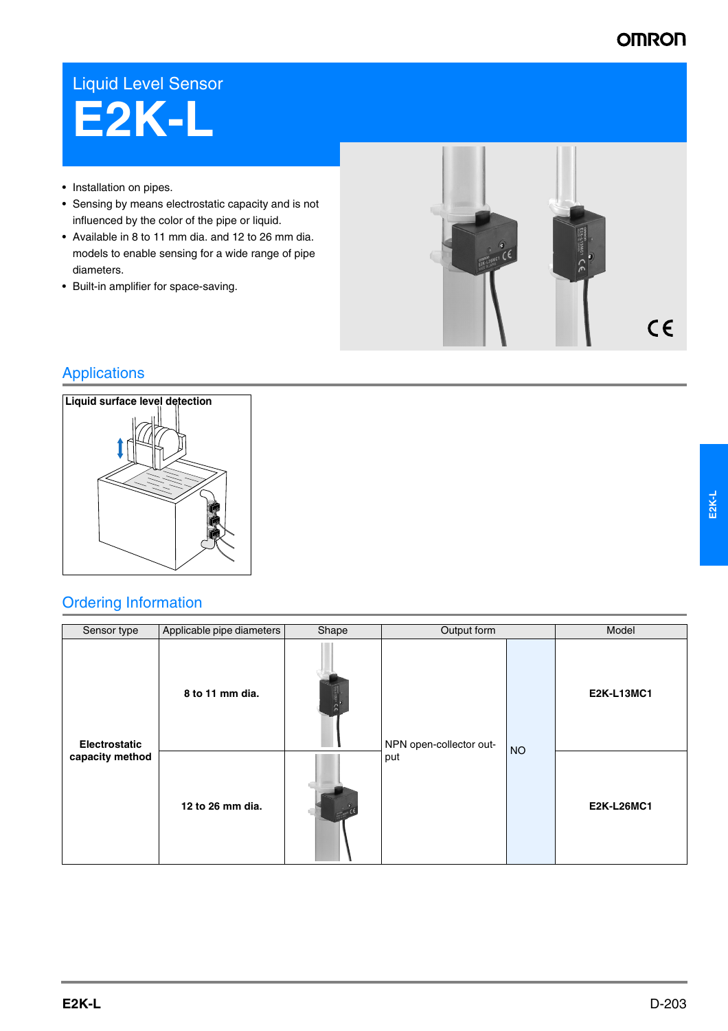## **OMRON**

## Liquid Level Sensor **E2K-L**

- Installation on pipes.
- Sensing by means electrostatic capacity and is not influenced by the color of the pipe or liquid.
- Available in 8 to 11 mm dia. and 12 to 26 mm dia. models to enable sensing for a wide range of pipe diameters.
- Built-in amplifier for space-saving.



## Applications



## Ordering Information

| Sensor type                             | Applicable pipe diameters | Shape<br>Output form |                         |           | Model             |
|-----------------------------------------|---------------------------|----------------------|-------------------------|-----------|-------------------|
| <b>Electrostatic</b><br>capacity method | 8 to 11 mm dia.           | <b>Therman CE</b>    | NPN open-collector out- |           | <b>E2K-L13MC1</b> |
|                                         | 12 to 26 mm dia.          |                      | put                     | <b>NO</b> | <b>E2K-L26MC1</b> |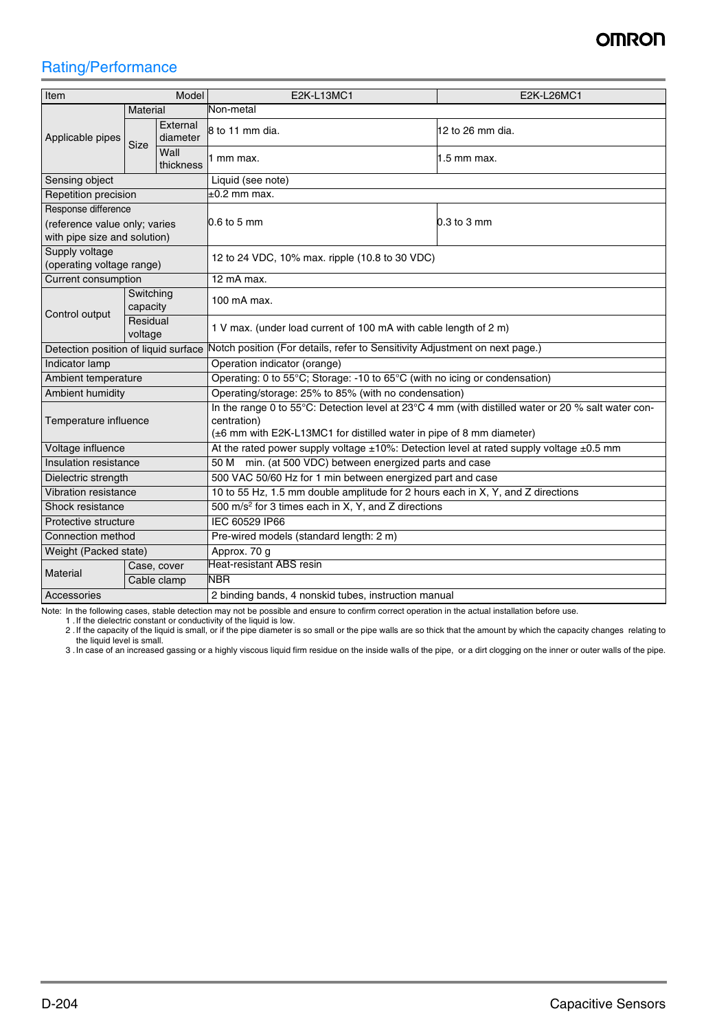## **OMRON**

## Rating/Performance

| Item<br>Model                                    |                     |                      | <b>E2K-L13MC1</b>                                                                                                                                                                         | E2K-L26MC1  |  |  |
|--------------------------------------------------|---------------------|----------------------|-------------------------------------------------------------------------------------------------------------------------------------------------------------------------------------------|-------------|--|--|
| <b>Material</b>                                  |                     |                      | Non-metal                                                                                                                                                                                 |             |  |  |
| Applicable pipes                                 | Size                | External<br>diameter | 8 to 11 mm dia.<br>$12$ to 26 mm dia.                                                                                                                                                     |             |  |  |
|                                                  |                     | Wall<br>thickness    | 1 mm max.                                                                                                                                                                                 | 1.5 mm max. |  |  |
| Sensing object                                   |                     |                      | Liquid (see note)                                                                                                                                                                         |             |  |  |
| Repetition precision                             |                     |                      | $±0.2$ mm max.                                                                                                                                                                            |             |  |  |
| Response difference                              |                     |                      |                                                                                                                                                                                           | 0.3 to 3 mm |  |  |
| (reference value only; varies                    |                     |                      | $0.6$ to 5 mm                                                                                                                                                                             |             |  |  |
| with pipe size and solution)                     |                     |                      |                                                                                                                                                                                           |             |  |  |
| Supply voltage                                   |                     |                      | 12 to 24 VDC, 10% max. ripple (10.8 to 30 VDC)                                                                                                                                            |             |  |  |
| (operating voltage range)<br>Current consumption |                     |                      |                                                                                                                                                                                           |             |  |  |
|                                                  | Switching           |                      | 12 mA max.                                                                                                                                                                                |             |  |  |
| Control output                                   | capacity            |                      | 100 mA max.                                                                                                                                                                               |             |  |  |
|                                                  | Residual<br>voltage |                      | 1 V max. (under load current of 100 mA with cable length of 2 m)                                                                                                                          |             |  |  |
| Detection position of liquid surface             |                     |                      | Notch position (For details, refer to Sensitivity Adjustment on next page.)                                                                                                               |             |  |  |
| Indicator lamp                                   |                     |                      | Operation indicator (orange)                                                                                                                                                              |             |  |  |
| Ambient temperature                              |                     |                      | Operating: 0 to 55°C; Storage: -10 to 65°C (with no icing or condensation)                                                                                                                |             |  |  |
| <b>Ambient humidity</b>                          |                     |                      | Operating/storage: 25% to 85% (with no condensation)                                                                                                                                      |             |  |  |
| Temperature influence                            |                     |                      | In the range 0 to 55°C: Detection level at 23°C 4 mm (with distilled water or 20 % salt water con-<br>centration)<br>(±6 mm with E2K-L13MC1 for distilled water in pipe of 8 mm diameter) |             |  |  |
| Voltage influence                                |                     |                      | At the rated power supply voltage ±10%: Detection level at rated supply voltage ±0.5 mm                                                                                                   |             |  |  |
| Insulation resistance                            |                     |                      | 50 M min. (at 500 VDC) between energized parts and case                                                                                                                                   |             |  |  |
| Dielectric strength                              |                     |                      | 500 VAC 50/60 Hz for 1 min between energized part and case                                                                                                                                |             |  |  |
| Vibration resistance                             |                     |                      | 10 to 55 Hz, 1.5 mm double amplitude for 2 hours each in X, Y, and Z directions                                                                                                           |             |  |  |
| Shock resistance                                 |                     |                      | 500 m/s <sup>2</sup> for 3 times each in X, Y, and Z directions                                                                                                                           |             |  |  |
| Protective structure                             |                     |                      | IEC 60529 IP66                                                                                                                                                                            |             |  |  |
| Connection method                                |                     |                      | Pre-wired models (standard length: 2 m)                                                                                                                                                   |             |  |  |
| Weight (Packed state)                            |                     |                      | Approx. 70 g                                                                                                                                                                              |             |  |  |
| Material                                         |                     | Case, cover          | <b>Heat-resistant ABS resin</b>                                                                                                                                                           |             |  |  |
|                                                  |                     | Cable clamp          | <b>NBR</b>                                                                                                                                                                                |             |  |  |
| Accessories                                      |                     |                      | 2 binding bands, 4 nonskid tubes, instruction manual                                                                                                                                      |             |  |  |

Note: In the following cases, stable detection may not be possible and ensure to confirm correct operation in the actual installation before use.

1 . If the dielectric constant or conductivity of the liquid is low.<br>2 . If the capacity of the liquid is small, or if the pipe diameter is so small or the pipe walls are so thick that the amount by which the capacity chan

3 .In case of an increased gassing or a highly viscous liquid firm residue on the inside walls of the pipe, or a dirt clogging on the inner or outer walls of the pipe.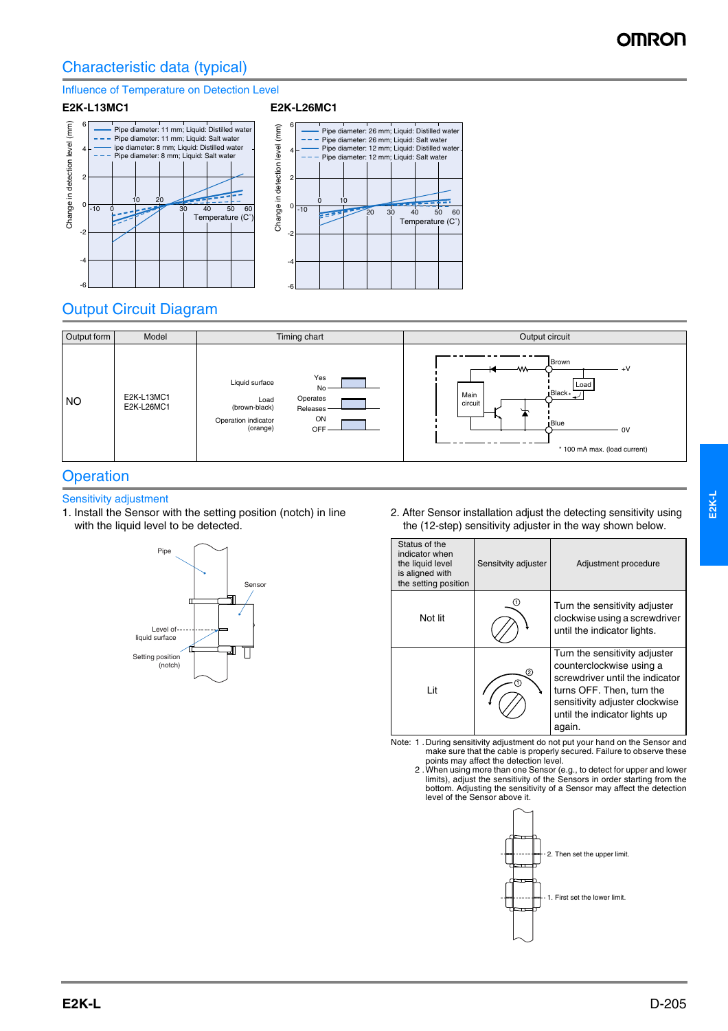## Characteristic data (typical)

#### Influence of Temperature on Detection Level







## Output Circuit Diagram



### **Operation**

#### Sensitivity adjustment

1. Install the Sensor with the setting position (notch) in line with the liquid level to be detected.



2. After Sensor installation adjust the detecting sensitivity using the (12-step) sensitivity adjuster in the way shown below.

| Status of the<br>indicator when<br>the liquid level<br>is aligned with<br>the setting position | Sensitvity adjuster | Adjustment procedure                                                                                                                                                                                   |
|------------------------------------------------------------------------------------------------|---------------------|--------------------------------------------------------------------------------------------------------------------------------------------------------------------------------------------------------|
| Not lit                                                                                        |                     | Turn the sensitivity adjuster<br>clockwise using a screwdriver<br>until the indicator lights.                                                                                                          |
| I it                                                                                           |                     | Turn the sensitivity adjuster<br>counterclockwise using a<br>screwdriver until the indicator<br>turns OFF. Then, turn the<br>sensitivity adjuster clockwise<br>until the indicator lights up<br>again. |

- Note: 1 .During sensitivity adjustment do not put your hand on the Sensor and make sure that the cable is properly secured. Failure to observe these points may affect the detection level. 2 .When using more than one Sensor (e.g., to detect for upper and lower
	- limits), adjust the sensitivity of the Sensors in order starting from the bottom. Adjusting the sensitivity of a Sensor may affect the detection level of the Sensor above it.

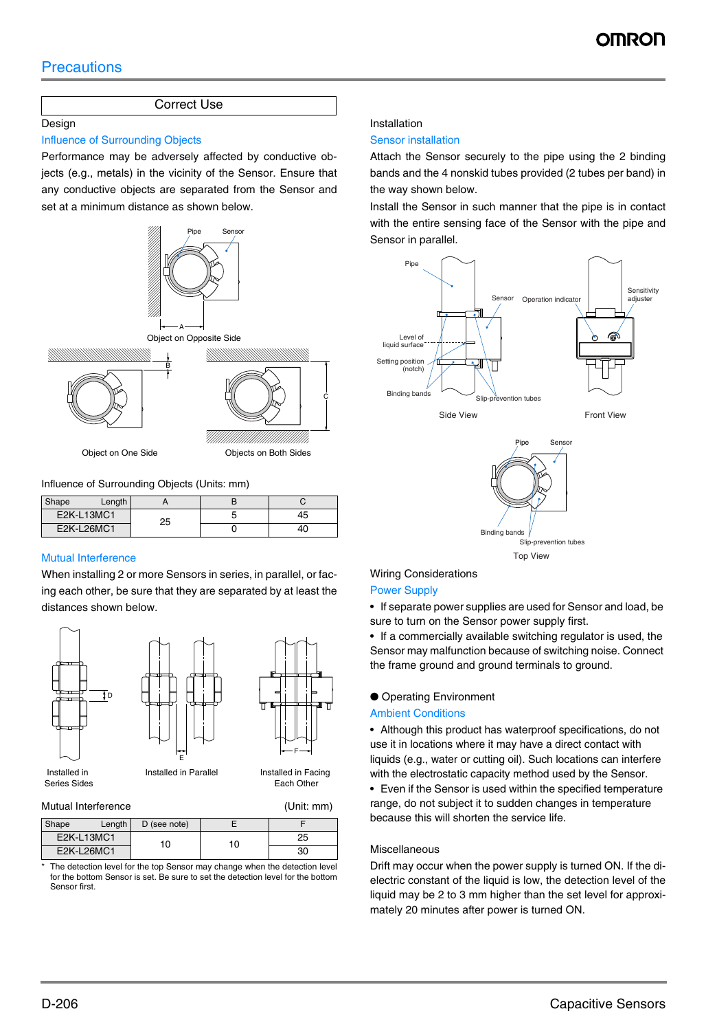#### Correct Use

#### Design

#### Influence of Surrounding Objects

Performance may be adversely affected by conductive objects (e.g., metals) in the vicinity of the Sensor. Ensure that any conductive objects are separated from the Sensor and set at a minimum distance as shown below.



Influence of Surrounding Objects (Units: mm)

| Shape      | Length |    |    |
|------------|--------|----|----|
| E2K-L13MC1 |        | 25 | 45 |
| E2K-L26MC1 |        |    | 4C |

#### Mutual Interference

When installing 2 or more Sensors in series, in parallel, or facing each other, be sure that they are separated by at least the distances shown below.





Series Sides

# Installed in Parallel Installed in Facing H | H— F<br>E

Each Other

#### Mutual Interference (Unit: mm)

| Shape      | Length | D (see note) |     |    |
|------------|--------|--------------|-----|----|
| E2K-L13MC1 |        | ١O           | 10. | 25 |
| E2K-L26MC1 |        |              |     | 30 |

The detection level for the top Sensor may change when the detection level for the bottom Sensor is set. Be sure to set the detection level for the bottom Sensor first.

#### Installation

#### Sensor installation

Attach the Sensor securely to the pipe using the 2 binding bands and the 4 nonskid tubes provided (2 tubes per band) in the way shown below.

Install the Sensor in such manner that the pipe is in contact with the entire sensing face of the Sensor with the pipe and Sensor in parallel.











## Wiring Considerations

#### Power Supply

• If separate power supplies are used for Sensor and load, be sure to turn on the Sensor power supply first.

• If a commercially available switching regulator is used, the Sensor may malfunction because of switching noise. Connect the frame ground and ground terminals to ground.

#### ● Operating Environment

#### Ambient Conditions

• Although this product has waterproof specifications, do not use it in locations where it may have a direct contact with liquids (e.g., water or cutting oil). Such locations can interfere with the electrostatic capacity method used by the Sensor.

• Even if the Sensor is used within the specified temperature range, do not subject it to sudden changes in temperature because this will shorten the service life.

#### Miscellaneous

Drift may occur when the power supply is turned ON. If the dielectric constant of the liquid is low, the detection level of the liquid may be 2 to 3 mm higher than the set level for approximately 20 minutes after power is turned ON.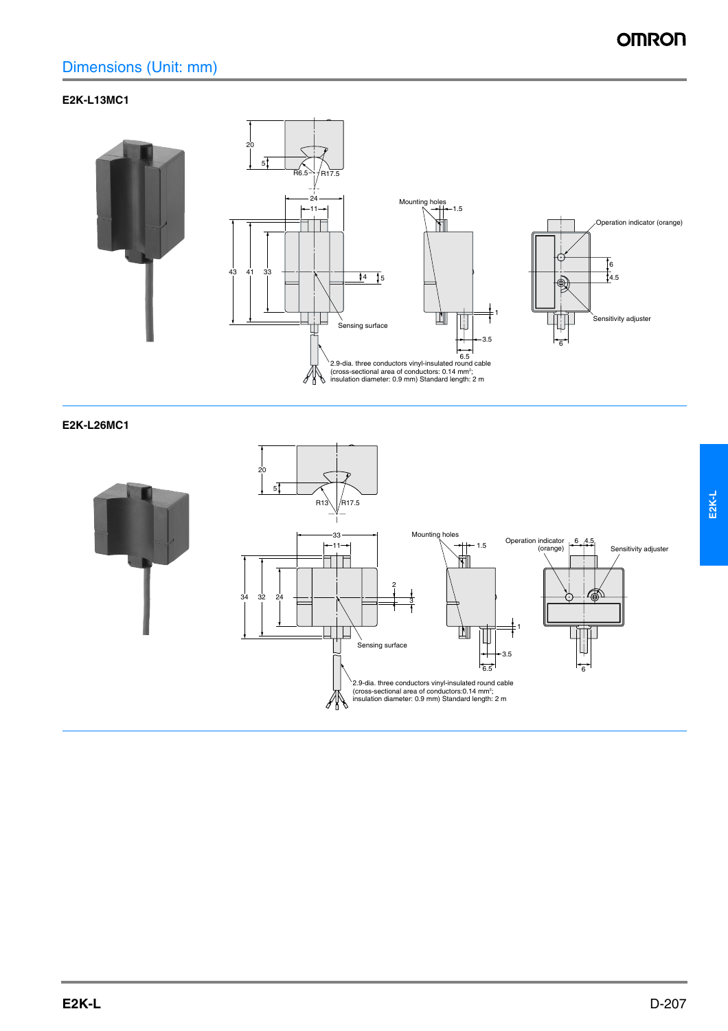## Dimensions (Unit: mm)

#### **E2K-L13MC1**



**E2K-L26MC1**